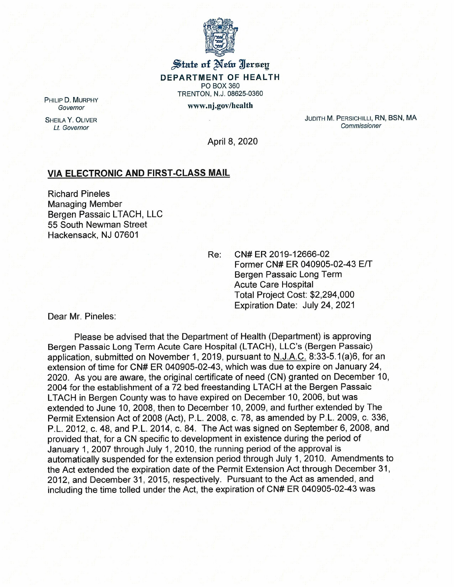

## $\frac{1}{2}$  state of Netw Hersey **DEPARTMENT OF HEALTH** PO BOX 360 TRENTON, N.J. 08625-0360 www.nj.gov/health

PHILIP D. MURPHY *Governor*

SHEILA Y. OLIVER *Lt. Governor*

JUDITH M. PERSICHILLI, RN, BSN, MA *Commissioner*

April 8, 2020

## **VIA ELECTRONIC AND FIRST-CLASS MAIL**

Richard Pineles Managing Member Bergen Passaic LTACH, LLC 55 South Newman Street Hackensack, NJ 07601

Re: CN# ER 2019-12666-02 Former CN# ER 040905-02-43 E/T Bergen Passaic Long Term Acute Care Hospital Total Project Cost: \$2,294,000 Expiration Date: July 24, 2021

Dear Mr. Pineles:

Please be advised that the Department of Health (Department) is approving Bergen Passaic Long Term Acute Care Hospital (LTACH), LLC's (Bergen Passaic) application, submitted on November 1, 2019, pursuant to N.J.A.C. 8:33-5.1 (a)6, for an extension of time for CN# ER 040905-02-43, which was due to expire on January 24, 2020. As you are aware, the original certificate of need (CN) granted on December 10, 2004 for the establishment of a 72 bed freestanding LTACH at the Bergen Passaic LTACH in Bergen County was to have expired on December 10, 2006, but was extended to June 10,2008, then to December 10, 2009, and further extended by The Permit Extension Act of 2008 (Act), P.L. 2008, c. 78, as amended by P.L. 2009, c. 336, P.L. 2012, c. 48, and P.L. 2014, c. 84. The Act was signed on September 6,2008, and provided that, for a CN specific to development in existence during the period of January 1, 2007 through July 1, 2010, the running period of the approval is automatically suspended for the extension period through July 1, 2010. Amendments to the Act extended the expiration date of the Permit Extension Act through December 31, 2012, and December 31, 2015, respectively. Pursuant to the Act as amended, and including the time tolled under the Act, the expiration of CN# ER 040905-02-43 was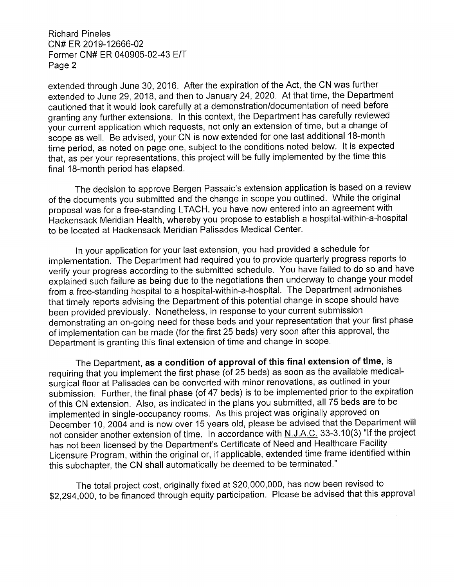Richard Pineles CN# ER 2019-12666-02 Former CN# ER 040905-02-43 EIT Page 2

extended through June 30, 2016. After the expiration of the Act, the CN was further extended to June 29, 2018, and then to January 24, 2020. At that time, the Department cautioned that it would look carefully at a demonstration/documentation of need before granting any further extensions. In this context, the Department has carefully reviewed your current application which requests, not only an extension of time, but a change of scope as well. Be advised, your CN is now extended for one last additional 18-month time period, as noted on page one, subject to the conditions noted below. It is expected that, as per your representations, this project will be fully implemented by the time this final 18-month period has elapsed.

The decision to approve Bergen Passaic's extension application is based on a review of the documents you submitted and the change in scope you outlined. While the original proposal was for a free-standing LTACH, you have now entered into an agreement with Hackensack Meridian Health, whereby you propose to establish a hospital-within-a-hospital to be located at Hackensack Meridian Palisades Medical Center.

In your application for your last extension, you had provided a schedule for implementation. The Department had required you to provide quarterly progress reports to verify your progress according to the submitted schedule. You have failed to do so and have explained such failure as being due to the negotiations then underway to change your model from a free-standing hospital to a hospital-within-a-hospital. The Department admonishes that timely reports advising the Department of this potential change in scope should have been provided previously. Nonetheless, in response to your current submission demonstrating an on-going need for these beds and your representation that your first phase of implementation can be made (for the first 25 beds) very soon after this approval, the Department is granting this final extension of time and change in scope.

The Department, as a condition of approval of this final extension of time, is requiring that you implement the first phase (of 25 beds) as soon as the available medicalsurgical floor at Palisades can be converted with minor renovations, as outlined in your submission. Further, the final phase (of 47 beds) is to be implemented prior to the expiration of this CN extension. Also, as indicated in the plans you submitted, all 75 beds are to be implemented in single-occupancy rooms. As this project was originally approved on December 10, 2004 and is now over 15 years old, please be advised that the Department will not consider another extension of time. In accordance with N.J.A.C. 33-3.10(3) "If the project has not been licensed by the Department's Certificate of Need and Healthcare Facility Licensure Program, within the original or, if applicable, extended time frame identified within this subchapter, the CN shall automatically be deemed to be terminated."

The total project cost, originally fixed at \$20,000,000, has now been revised to \$2,294,000, to be financed through equity participation. Please be advised that this approval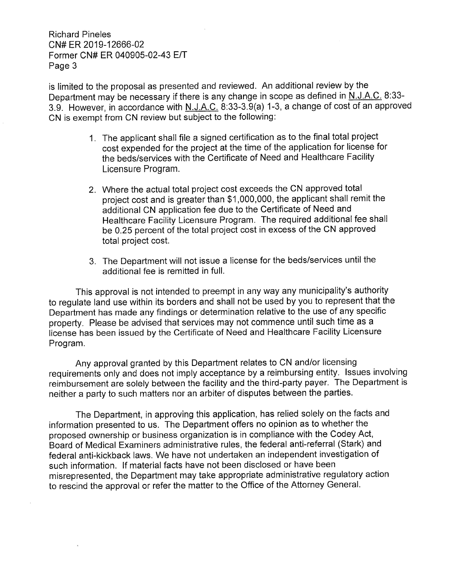Richard Pineles CN# ER 2019-12666-02 Former CN# ER 040905-02-43 E/T Page 3

is limited to the proposal as presented and reviewed. An additional review by the Department may be necessary if there is any change in scope as defined in N.J.A.C. 8:33- 3.9. However, in accordance with N.J.A.C. 8:33-3.9(a) 1-3, a change of cost of an approved CN is exempt from CN review but subject to the following:

- 1. The applicant shall file a signed certification as to the final total project cost expended for the project at the time of the application for license for the beds/services with the Certificate of Need and Healthcare Facility Licensure Program.
- 2. Where the actual total project cost exceeds the CN approved total project cost and is greater than \$1,000,000, the applicant shall remit the additional CN application fee due to the Certificate of Need and Healthcare Facility Licensure Program. The required additional fee shall be 0.25 percent of the total project cost in excess of the CN approved total project cost.
- 3. The Department will not issue a license for the beds/services until the additional fee is remitted in full.

This approval is not intended to preempt in any way any municipality's authority to regulate land use within its borders and shall not be used by you to represent that the Department has made any findings or determination relative to the use of any specific property. Please be advised that services may not commence until such time as a license has been issued by the Certificate of Need and Healthcare Facility Licensure Program.

Any approval granted by this Department relates to CN and/or licensing requirements only and does not imply acceptance by a reimbursing entity. Issues involving reimbursement are solely between the facility and the third-party payer. The Department is neither a party to such matters nor an arbiter of disputes between the parties.

The Department, in approving this application, has relied solely on the facts and information presented to us. The Department offers no opinion as to whether the proposed ownership or business organization is in compliance with the Codey Act, Board of Medical Examiners administrative rules, the federal anti-referral (Stark) and federal anti-kickback laws. We have not undertaken an independent investigation of such information. If material facts have not been disclosed or have been misrepresented, the Department may take appropriate administrative regulatory action to rescind the approval or refer the matter to the Office of the Attorney General.